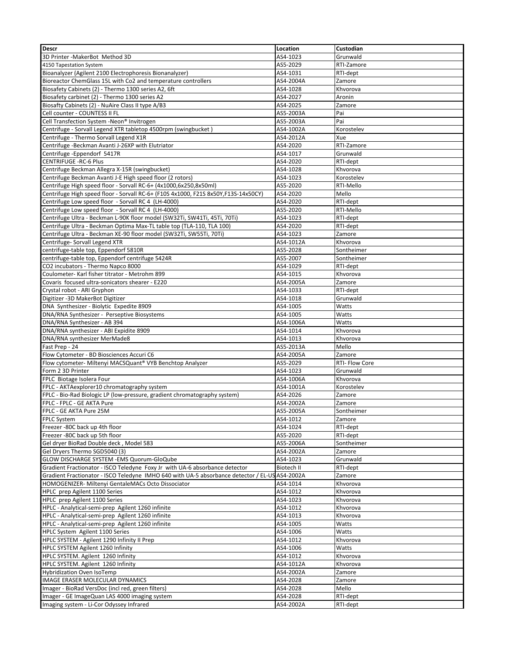| <b>Descr</b>                                                                                   | Location   | Custodian      |
|------------------------------------------------------------------------------------------------|------------|----------------|
| 3D Printer - MakerBot Method 3D                                                                | AS4-1023   | Grunwald       |
| 4150 Tapestation System                                                                        | AS5-2029   | RTI-Zamore     |
| Bioanalyzer (Agilent 2100 Electrophoresis Bionanalyzer)                                        | AS4-1031   | RTI-dept       |
| Bioreactor ChemGlass 15L with Co2 and temperature controllers                                  | AS4-2004A  | Zamore         |
| Biosafety Cabinets (2) - Thermo 1300 series A2, 6ft                                            | AS4-1028   | Khvorova       |
| Biosafety carbinet (2) - Thermo 1300 series A2                                                 | AS4-2027   | Aronin         |
| Biosafty Cabinets (2) - NuAire Class II type A/B3                                              | AS4-2025   | Zamore         |
| Cell counter - COUNTESS II FL                                                                  | AS5-2003A  | Pai            |
| Cell Transfection System -Neon <sup>®</sup> Invitrogen                                         | AS5-2003A  | Pai            |
| Centrifuge - Sorvall Legend XTR tabletop 4500rpm (swingbucket)                                 | AS4-1002A  | Korostelev     |
| Centrifuge - Thermo Sorvall Legend X1R                                                         | AS4-2012A  | Xue            |
| Centrifuge -Beckman Avanti J-26XP with Elutriator                                              | AS4-2020   | RTI-Zamore     |
| Centrifuge-Eppendorf 5417R                                                                     | AS4-1017   | Grunwald       |
| <b>CENTRIFUGE -RC-6 Plus</b>                                                                   | AS4-2020   | RTI-dept       |
| Centrifuge Beckman Allegra X-15R (swingbucket)                                                 | AS4-1028   | Khvorova       |
| Centrifuge Beckman Avanti J-E High speed floor (2 rotors)                                      | AS4-1023   | Korostelev     |
| Centrifuge High speed floor - Sorvall RC-6+ (4x1000,6x250,8x50ml)                              | AS5-2020   | RTI-Mello      |
| Centrifuge High speed floor - Sorvall RC-6+ (F10S 4x1000, F21S 8x50Y,F13S-14x50CY)             | AS4-2020   | Mello          |
| Centrifuge Low speed floor - Sorvall RC 4 (LH-4000)                                            | AS4-2020   | RTI-dept       |
| Centrifuge Low speed floor - Sorvall RC 4 (LH-4000)                                            | AS5-2020   | RTI-Mello      |
| Centrifuge Ultra - Beckman L-90K floor model (SW32Ti, SW41Ti, 45Ti, 70Ti)                      | AS4-1023   | RTI-dept       |
| Centrifuge Ultra - Beckman Optima Max-TL table top (TLA-110, TLA 100)                          | AS4-2020   | RTI-dept       |
| Centrifuge Ultra - Beckman XE-90 floor model (SW32Ti, SW55Ti, 70Ti)                            | AS4-1023   | Zamore         |
| Centrifuge- Sorvall Legend XTR                                                                 | AS4-1012A  | Khvorova       |
| centrifuge-table top, Eppendorf 5810R                                                          | AS5-2028   | Sontheimer     |
| centrifuge-table top, Eppendorf centrifuge 5424R                                               | AS5-2007   | Sontheimer     |
| CO2 incubators - Thermo Napco 8000                                                             | AS4-1029   | RTI-dept       |
| Coulometer- Karl fisher titrator - Metrohm 899                                                 | AS4-1015   | Khvorova       |
| Covaris focused ultra-sonicators shearer - E220                                                | AS4-2005A  | Zamore         |
| Crystal robot - ARI Gryphon                                                                    | AS4-1033   | RTI-dept       |
| Digitizer - 3D MakerBot Digitizer                                                              | AS4-1018   | Grunwald       |
| DNA Synthesizer - Biolytic Expedite 8909                                                       | AS4-1005   | Watts          |
| DNA/RNA Synthesizer - Perseptive Biosystems                                                    | AS4-1005   | Watts          |
| DNA/RNA Synthesizer - AB 394                                                                   | AS4-1006A  | Watts          |
| DNA/RNA synthesizer - ABI Expidite 8909                                                        | AS4-1014   | Khvorova       |
| DNA/RNA synthesizer MerMade8                                                                   | AS4-1013   | Khvorova       |
| Fast Prep - 24                                                                                 | AS5-2013A  | Mello          |
| Flow Cytometer - BD Biosciences Accuri C6                                                      | AS4-2005A  | Zamore         |
| Flow cytometer- Miltenyi MACSQuant® VYB Benchtop Analyzer                                      | AS5-2029   | RTI- Flow Core |
| Form 2 3D Printer                                                                              | AS4-1023   | Grunwald       |
| FPLC Biotage Isolera Four                                                                      | AS4-1006A  | Khvorova       |
| FPLC - AKTAexplorer10 chromatography system                                                    | AS4-1001A  | Korostelev     |
| FPLC - Bio-Rad Biologic LP (low-pressure, gradient chromatography system)                      | AS4-2026   | Zamore         |
| FPLC - FPLC - GE AKTA Pure                                                                     | AS4-2002A  | Zamore         |
| FPLC - GE AKTA Pure 25M                                                                        | AS5-2005A  | Sontheimer     |
| FPLC System                                                                                    | AS4-1012   | Zamore         |
| Freezer -80C back up 4th floor                                                                 | AS4-1024   | RTI-dept       |
| Freezer -80C back up 5th floor                                                                 | AS5-2020   | RTI-dept       |
| Gel dryer BioRad Double deck, Model 583                                                        | AS5-2006A  | Sontheimer     |
| Gel Dryers Thermo SGD5040 (3)                                                                  | AS4-2002A  | Zamore         |
| GLOW DISCHARGE SYSTEM - EMS Quorum-GloQube                                                     | AS4-1023   | Grunwald       |
| Gradient Fractionator - ISCO Teledyne Foxy Jr with UA-6 absorbance detector                    | Biotech II | RTI-dept       |
| Gradient Fractionator - ISCO Teledyne IMHO 640 with UA-5 absorbance detector / EL-US AS4-2002A |            | Zamore         |
| HOMOGENIZER- Miltenyi GentaleMACs Octo Dissociator                                             | AS4-1014   | Khvorova       |
| HPLC prep Agilent 1100 Series                                                                  | AS4-1012   | Khvorova       |
| HPLC prep Agilent 1100 Series                                                                  | AS4-1023   | Khvorova       |
| HPLC - Analytical-semi-prep Agilent 1260 infinite                                              | AS4-1012   | Khvorova       |
| HPLC - Analytical-semi-prep Agilent 1260 infinite                                              | AS4-1013   | Khvorova       |
| HPLC - Analytical-semi-prep Agilent 1260 infinite                                              | AS4-1005   | Watts          |
| HPLC System Agilent 1100 Series                                                                | AS4-1006   | Watts          |
| HPLC SYSTEM - Agilent 1290 Infinity II Prep                                                    | AS4-1012   | Khvorova       |
| HPLC SYSTEM Agilent 1260 Infinity                                                              | AS4-1006   | Watts          |
| HPLC SYSTEM. Agilent 1260 Infinity                                                             | AS4-1012   | Khvorova       |
| HPLC SYSTEM. Agilent 1260 Infinity                                                             | AS4-1012A  | Khvorova       |
| <b>Hybridization Oven IsoTemp</b>                                                              | AS4-2002A  | Zamore         |
| <b>IMAGE ERASER MOLECULAR DYNAMICS</b>                                                         | AS4-2028   | Zamore         |
| Imager - BioRad VersDoc (incl red, green filters)                                              | AS4-2028   | Mello          |
| Imager - GE ImageQuan LAS 4000 imaging system                                                  | AS4-2028   | RTI-dept       |
| Imaging system - Li-Cor Odyssey Infrared                                                       | AS4-2002A  | RTI-dept       |
|                                                                                                |            |                |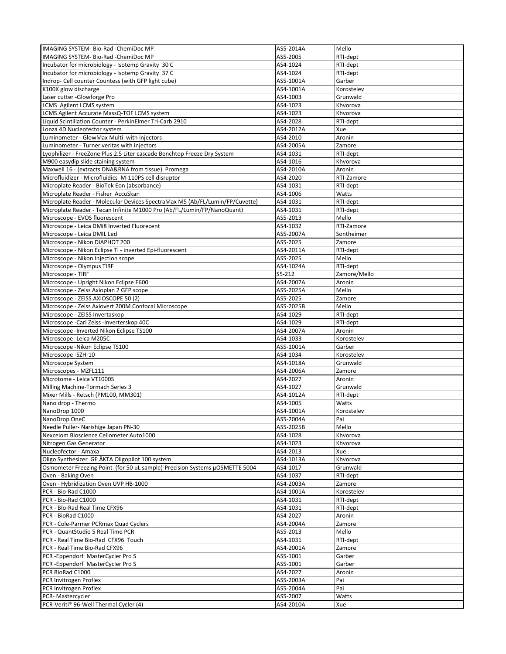| <b>IMAGING SYSTEM-Bio-Rad -ChemiDoc MP</b>                                   | AS5-2014A | Mello        |
|------------------------------------------------------------------------------|-----------|--------------|
| IMAGING SYSTEM- Bio-Rad - ChemiDoc MP                                        | AS5-2005  | RTI-dept     |
| Incubator for microbiology - Isotemp Gravity 30 C                            | AS4-1024  | RTI-dept     |
| Incubator for microbiology - Isotemp Gravity 37 C                            | AS4-1024  | RTI-dept     |
| Indrop- Cell counter Countess (with GFP light cube)                          | AS5-1001A | Garber       |
|                                                                              |           |              |
| K100X glow discharge                                                         | AS4-1001A | Korostelev   |
| Laser cutter -Glowforge Pro                                                  | AS4-1003  | Grunwald     |
| LCMS Agilent LCMS system                                                     | AS4-1023  | Khvorova     |
| LCMS Agilent Accurate MassQ-TOF LCMS system                                  | AS4-1023  | Khvorova     |
| Liquid Scintillation Counter - PerkinElmer Tri-Carb 2910                     | AS4-2028  | RTI-dept     |
| Lonza 4D Nucleofector system                                                 | AS4-2012A | Xue          |
| Luminometer - GlowMax Multi with injectors                                   | AS4-2010  | Aronin       |
| Luminometer - Turner veritas with injectors                                  | AS4-2005A | Zamore       |
| Lyophilizer - FreeZone Plus 2.5 Liter cascade Benchtop Freeze Dry System     | AS4-1031  | RTI-dept     |
| M900 easydip slide staining system                                           | AS4-1016  | Khvorova     |
| Maxwell 16 - (extracts DNA&RNA from tissue) Promega                          | AS4-2010A | Aronin       |
| Microfluidizer - Microfluidics M-110PS cell disruptor                        | AS4-2020  | RTI-Zamore   |
|                                                                              |           |              |
| Microplate Reader - BioTek Eon (absorbance)                                  | AS4-1031  | RTI-dept     |
| Microplate Reader - Fisher AccuSkan                                          | AS4-1006  | Watts        |
| Microplate Reader - Molecular Devices SpectraMax M5 (Ab/FL/Lumin/FP/Cuvette) | AS4-1031  | RTI-dept     |
| Microplate Reader - Tecan Infinite M1000 Pro (Ab/FL/Lumin/FP/NanoQuant)      | AS4-1031  | RTI-dept     |
| Microscope - EVOS fluorescent                                                | AS5-2013  | Mello        |
| Microscope - Leica DMi8 Inverted Fluorecent                                  | AS4-1032  | RTI-Zamore   |
| Microscope - Leica DMIL Led                                                  | AS5-2007A | Sontheimer   |
| Microscope - Nikon DIAPHOT 200                                               | AS5-2025  | Zamore       |
| Microscope - Nikon Eclipse Ti - inverted Epi-fluorescent                     | AS4-2011A | RTI-dept     |
| Microscope - Nikon Injection scope                                           | AS5-2025  | Mello        |
| Microscope - Olympus TIRF                                                    | AS4-1024A | RTI-dept     |
| Microscope - TIRF                                                            |           |              |
|                                                                              | S5-212    | Zamore/Mello |
| Microscope - Upright Nikon Eclipse E600                                      | AS4-2007A | Aronin       |
| Microscope - Zeiss Axioplan 2 GFP scope                                      | AS5-2025A | Mello        |
| Microscope - ZEISS AXIOSCOPE 50 (2)                                          | AS5-2025  | Zamore       |
| Microscope - Zeiss Axiovert 200M Confocal Microscope                         | AS5-2025B | Mello        |
| Microscope - ZEISS Invertaskop                                               | AS4-1029  | RTI-dept     |
| Microscope - Carl Zeiss - Inverterskop 40C                                   | AS4-1029  | RTI-dept     |
| Microscope - Inverted Nikon Eclipse TS100                                    | AS4-2007A | Aronin       |
| Microscope - Leica M205C                                                     | AS4-1033  | Korostelev   |
| Microscope - Nikon Eclipse TS100                                             | AS5-1001A | Garber       |
| Microscope - SZH-10                                                          | AS4-1034  | Korostelev   |
| Microscope System                                                            | AS4-1018A | Grunwald     |
| Microscopes - MZFL111                                                        | AS4-2006A |              |
|                                                                              |           | Zamore       |
| Microtome - Leica VT1000S                                                    | AS4-2027  | Aronin       |
| Milling Machine-Tormach Series 3                                             | AS4-1027  | Grunwald     |
| Mixer Mills - Retsch (PM100, MM301)                                          | AS4-1012A | RTI-dept     |
| Nano drop - Thermo                                                           | AS4-1005  | Watts        |
| NanoDrop 1000                                                                | AS4-1001A | Korostelev   |
| NanoDrop OneC                                                                | AS5-2004A | Pai          |
| Needle Puller- Narishige Japan PN-30                                         | AS5-2025B | Mello        |
| Nexcelom Bioscience Cellometer Auto1000                                      | AS4-1028  | Khvorova     |
| Nitrogen Gas Generator                                                       | AS4-1023  | Khvorova     |
| Nucleofector - Amaxa                                                         | AS4-2013  | Xue          |
| Oligo Synthesizer GE ÄKTA Oligopilot 100 system                              | AS4-1013A | Khvorova     |
| Osmometer Freezing Point (for 50 uL sample)-Precision Systems µOSMETTE 5004  | AS4-1017  | Grunwald     |
|                                                                              |           |              |
| Oven - Baking Oven                                                           | AS4-1037  | RTI-dept     |
| Oven - Hybridization Oven UVP HB-1000                                        | AS4-2003A | Zamore       |
| PCR - Bio-Rad C1000                                                          | AS4-1001A | Korostelev   |
| PCR - Bio-Rad C1000                                                          | AS4-1031  | RTI-dept     |
| PCR - Blo-Rad Real Time CFX96                                                | AS4-1031  | RTI-dept     |
| PCR - BioRad C1000                                                           | AS4-2027  | Aronin       |
| PCR - Cole-Parmer PCRmax Quad Cyclers                                        | AS4-2004A | Zamore       |
| PCR - QuantStudio 5 Real Time PCR                                            | AS5-2013  | Mello        |
| PCR - Real Time Bio-Rad CFX96 Touch                                          | AS4-1031  | RTI-dept     |
| PCR - Real Time Bio-Rad CFX96                                                | AS4-2001A | Zamore       |
| PCR - Eppendorf Master Cycler Pro S                                          | AS5-1001  | Garber       |
| PCR - Eppendorf Master Cycler Pro S                                          | AS5-1001  | Garber       |
| PCR BioRad C1000                                                             | AS4-2027  |              |
|                                                                              |           | Aronin       |
| PCR Invitrogen Proflex                                                       | AS5-2003A | Pai          |
| PCR Invitrogen Proflex                                                       | AS5-2004A | Pai          |
| PCR-Mastercycler                                                             | AS5-2007  | Watts        |
| PCR-Veriti® 96-Well Thermal Cycler (4)                                       | AS4-2010A | Xue          |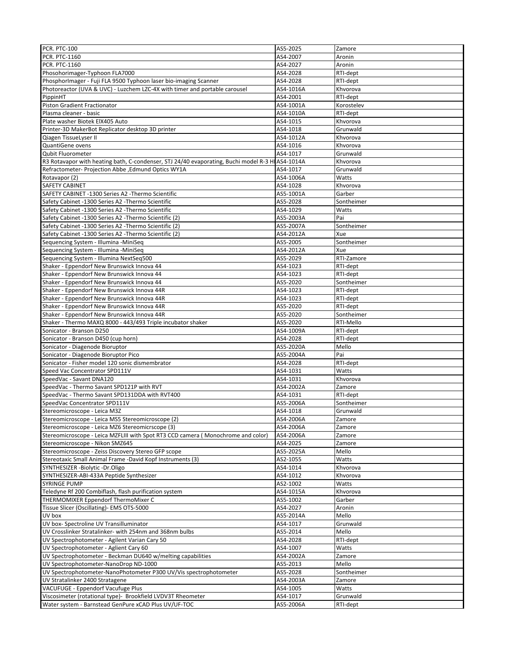| <b>PCR. PTC-100</b>                                                                                                 | AS5-2025              | Zamore               |
|---------------------------------------------------------------------------------------------------------------------|-----------------------|----------------------|
| <b>PCR. PTC-1160</b>                                                                                                | AS4-2007              | Aronin               |
| <b>PCR. PTC-1160</b>                                                                                                | AS4-2027              | Aronin               |
| Phosohorimager-Typhoon FLA7000                                                                                      | AS4-2028              | RTI-dept             |
|                                                                                                                     |                       |                      |
| PhosphorImager - Fuji FLA 9500 Typhoon laser bio-imaging Scanner                                                    | AS4-2028              | RTI-dept             |
| Photoreactor (UVA & UVC) - Luzchem LZC-4X with timer and portable carousel                                          | AS4-1016A             | Khvorova             |
| PippinHT                                                                                                            | AS4-2001              | RTI-dept             |
| <b>Piston Gradient Fractionator</b>                                                                                 | AS4-1001A             | Korostelev           |
| Plasma cleaner - basic                                                                                              | AS4-1010A             | RTI-dept             |
| Plate washer Biotek ElX405 Auto                                                                                     | AS4-1015              | Khvorova             |
| Printer-3D MakerBot Replicator desktop 3D printer                                                                   | AS4-1018              | Grunwald             |
| Qiagen TissueLyser II                                                                                               | AS4-1012A             | Khvorova             |
| QuantiGene ovens                                                                                                    | AS4-1016              | Khvorova             |
| <b>Qubit Fluorometer</b>                                                                                            | AS4-1017              | Grunwald             |
| R3 Rotavapor with heating bath, C-condenser, STJ 24/40 evaporating, Buchi model R-3 HIAS4-1014A                     |                       | Khvorova             |
|                                                                                                                     |                       |                      |
| Refractometer- Projection Abbe , Edmund Optics WY1A                                                                 | AS4-1017              | Grunwald             |
| Rotavapor (2)                                                                                                       | AS4-1006A             | Watts                |
| SAFETY CABINET                                                                                                      | AS4-1028              | Khvorova             |
| SAFETY CABINET -1300 Series A2 -Thermo Scientific                                                                   | AS5-1001A             | Garber               |
| Safety Cabinet -1300 Series A2 -Thermo Scientific                                                                   | AS5-2028              | Sontheimer           |
| Safety Cabinet -1300 Series A2 -Thermo Scientific                                                                   | AS4-1029              | Watts                |
| Safety Cabinet -1300 Series A2 -Thermo Scientific (2)                                                               | AS5-2003A             | Pai                  |
| Safety Cabinet -1300 Series A2 -Thermo Scientific (2)                                                               | AS5-2007A             | Sontheimer           |
| Safety Cabinet -1300 Series A2 -Thermo Scientific (2)                                                               | AS4-2012A             | Xue                  |
|                                                                                                                     |                       |                      |
| Sequencing System - Illumina - MiniSeq                                                                              | AS5-2005              | Sontheimer           |
| Sequencing System - Illumina -MiniSeq                                                                               | AS4-2012A             | Xue                  |
| Sequencing System - Illumina NextSeq500                                                                             | AS5-2029              | RTI-Zamore           |
| Shaker - Eppendorf New Brunswick Innova 44                                                                          | AS4-1023              | RTI-dept             |
| Shaker - Eppendorf New Brunswick Innova 44                                                                          | AS4-1023              | RTI-dept             |
| Shaker - Eppendorf New Brunswick Innova 44                                                                          | AS5-2020              | Sontheimer           |
| Shaker - Eppendorf New Brunswick Innova 44R                                                                         | AS4-1023              | RTI-dept             |
| Shaker - Eppendorf New Brunswick Innova 44R                                                                         | AS4-1023              | RTI-dept             |
|                                                                                                                     |                       |                      |
| Shaker - Eppendorf New Brunswick Innova 44R                                                                         | AS5-2020              | RTI-dept             |
| Shaker - Eppendorf New Brunswick Innova 44R                                                                         | AS5-2020              | Sontheimer           |
| Shaker - Thermo MAXQ 8000 - 443/493 Triple incubator shaker                                                         | AS5-2020              | RTI-Mello            |
| Sonicator - Branson D250                                                                                            | AS4-1009A             | RTI-dept             |
| Sonicator - Branson D450 (cup horn)                                                                                 | AS4-2028              | RTI-dept             |
| Sonicator - Diagenode Bioruptor                                                                                     | AS5-2020A             | Mello                |
|                                                                                                                     |                       |                      |
|                                                                                                                     |                       |                      |
| Sonicator - Diagenode Bioruptor Pico                                                                                | AS5-2004A             | Pai                  |
| Sonicator - Fisher model 120 sonic dismembrator                                                                     | AS4-2028              | RTI-dept             |
| Speed Vac Concentrator SPD111V                                                                                      | AS4-1031              | Watts                |
| SpeedVac - Savant DNA120                                                                                            | AS4-1031              | Khvorova             |
| SpeedVac - Thermo Savant SPD121P with RVT                                                                           | AS4-2002A             | Zamore               |
| SpeedVac - Thermo Savant SPD131DDA with RVT400                                                                      | AS4-1031              | RTI-dept             |
| SpeedVac Concentrator SPD111V                                                                                       | AS5-2006A             | Sontheimer           |
| Stereomicroscope - Leica M3Z                                                                                        | AS4-1018              | Grunwald             |
| Stereomicroscope - Leica MS5 Stereomicroscope (2)                                                                   | AS4-2006A             | Zamore               |
|                                                                                                                     |                       |                      |
| Stereomicroscope - Leica MZ6 Stereomicrscope (3)                                                                    | AS4-2006A             | Zamore               |
| Stereomicroscope - Leica MZFLIII with Spot RT3 CCD camera (Monochrome and color)                                    | AS4-2006A             | Zamore               |
| Stereomicroscope - Nikon SMZ645                                                                                     | AS4-2025              | Zamore               |
| Stereomicroscope - Zeiss Discovery Stereo GFP scope                                                                 | AS5-2025A             | Mello                |
| Stereotaxic Small Animal Frame -David Kopf Instruments (3)                                                          | AS2-1055              | Watts                |
| SYNTHESIZER -Biolytic -Dr.Oligo                                                                                     | AS4-1014              | Khvorova             |
| SYNTHESIZER-ABI-433A Peptide Synthesizer                                                                            | AS4-1012              | Khvorova             |
| SYRINGE PUMP                                                                                                        | AS2-1002              | Watts                |
| Teledyne Rf 200 Combiflash, flash purification system                                                               | AS4-1015A             |                      |
|                                                                                                                     |                       | Khvorova             |
| THERMOMIXER Eppendorf ThermoMixer C                                                                                 | AS5-1002              | Garber               |
| Tissue Slicer (Oscillating)- EMS OTS-5000                                                                           | AS4-2027              | Aronin               |
| UV box                                                                                                              | AS5-2014A             | Mello                |
| UV box- Spectroline UV Transilluminator                                                                             | AS4-1017              | Grunwald             |
| UV Crosslinker Stratalinker- with 254nm and 368nm bulbs                                                             | AS5-2014              | Mello                |
| UV Spectrophotometer - Agilent Varian Cary 50                                                                       | AS4-2028              | RTI-dept             |
| UV Spectrophotometer - Aglient Cary 60                                                                              | AS4-1007              | Watts                |
| UV Spectrophotometer - Beckman DU640 w/melting capabilities                                                         | AS4-2002A             | Zamore               |
|                                                                                                                     | AS5-2013              | Mello                |
| UV Spectrophotometer-NanoDrop ND-1000                                                                               |                       |                      |
| UV Spectrophotometer-NanoPhotometer P300 UV/Vis spectrophotometer                                                   | AS5-2028              | Sontheimer           |
| UV Stratalinker 2400 Stratagene                                                                                     | AS4-2003A             | Zamore               |
| VACUFUGE - Eppendorf Vacufuge Plus                                                                                  | AS4-1005              | Watts                |
| Viscosimeter (rotational type)- Brookfield LVDV3T Rheometer<br>Water system - Barnstead GenPure xCAD Plus UV/UF-TOC | AS4-1017<br>AS5-2006A | Grunwald<br>RTI-dept |